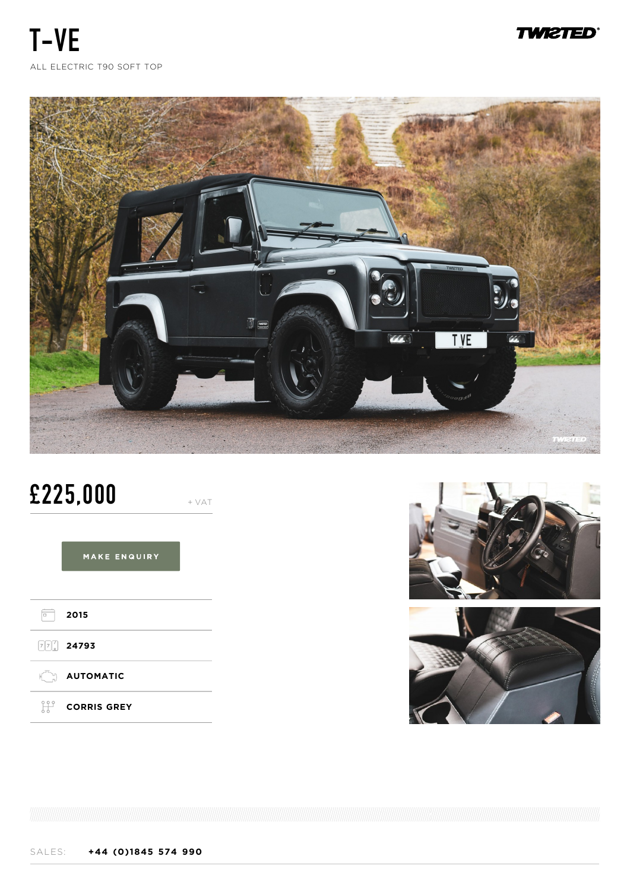**TWI2TED** 

**T-VE** ALL ELECTRIC T90 SOFT TOP



# **£225,000** + VAT

MAKE ENQUIRY